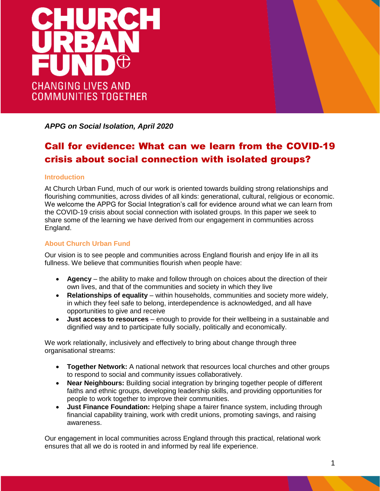

*APPG on Social Isolation, April 2020*

# Call for evidence: What can we learn from the COVID-19 crisis about social connection with isolated groups?

# **Introduction**

At Church Urban Fund, much of our work is oriented towards building strong relationships and flourishing communities, across divides of all kinds: generational, cultural, religious or economic. We welcome the APPG for Social Integration's call for evidence around what we can learn from the COVID-19 crisis about social connection with isolated groups. In this paper we seek to share some of the learning we have derived from our engagement in communities across England.

# **About Church Urban Fund**

Our vision is to see people and communities across England flourish and enjoy life in all its fullness. We believe that communities flourish when people have:

- **Agency** the ability to make and follow through on choices about the direction of their own lives, and that of the communities and society in which they live
- **Relationships of equality** within households, communities and society more widely, in which they feel safe to belong, interdependence is acknowledged, and all have opportunities to give and receive
- **Just access to resources** enough to provide for their wellbeing in a sustainable and dignified way and to participate fully socially, politically and economically.

We work relationally, inclusively and effectively to bring about change through three organisational streams:

- **Together Network:** A national network that resources local churches and other groups to respond to social and community issues collaboratively.
- **Near Neighbours:** Building social integration by bringing together people of different faiths and ethnic groups, developing leadership skills, and providing opportunities for people to work together to improve their communities.
- **Just Finance Foundation:** Helping shape a fairer finance system, including through financial capability training, work with credit unions, promoting savings, and raising awareness.

Our engagement in local communities across England through this practical, relational work ensures that all we do is rooted in and informed by real life experience.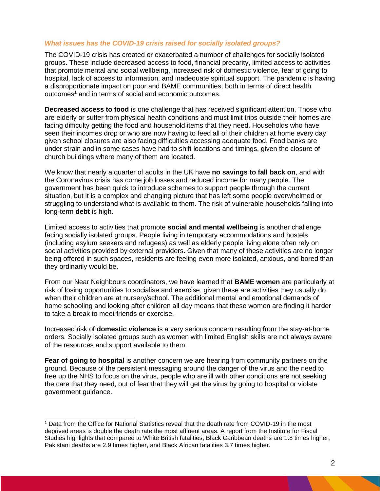# *What issues has the COVID-19 crisis raised for socially isolated groups?*

The COVID-19 crisis has created or exacerbated a number of challenges for socially isolated groups. These include decreased access to food, financial precarity, limited access to activities that promote mental and social wellbeing, increased risk of domestic violence, fear of going to hospital, lack of access to information, and inadequate spiritual support. The pandemic is having a disproportionate impact on poor and BAME communities, both in terms of direct health outcomes<sup>1</sup> and in terms of social and economic outcomes.

**Decreased access to food** is one challenge that has received significant attention. Those who are elderly or suffer from physical health conditions and must limit trips outside their homes are facing difficulty getting the food and household items that they need. Households who have seen their incomes drop or who are now having to feed all of their children at home every day given school closures are also facing difficulties accessing adequate food. Food banks are under strain and in some cases have had to shift locations and timings, given the closure of church buildings where many of them are located.

We know that nearly a quarter of adults in the UK have **no savings to fall back on**, and with the Coronavirus crisis has come job losses and reduced income for many people. The government has been quick to introduce schemes to support people through the current situation, but it is a complex and changing picture that has left some people overwhelmed or struggling to understand what is available to them. The risk of vulnerable households falling into long-term **debt** is high.

Limited access to activities that promote **social and mental wellbeing** is another challenge facing socially isolated groups. People living in temporary accommodations and hostels (including asylum seekers and refugees) as well as elderly people living alone often rely on social activities provided by external providers. Given that many of these activities are no longer being offered in such spaces, residents are feeling even more isolated, anxious, and bored than they ordinarily would be.

From our Near Neighbours coordinators, we have learned that **BAME women** are particularly at risk of losing opportunities to socialise and exercise, given these are activities they usually do when their children are at nursery/school. The additional mental and emotional demands of home schooling and looking after children all day means that these women are finding it harder to take a break to meet friends or exercise.

Increased risk of **domestic violence** is a very serious concern resulting from the stay-at-home orders. Socially isolated groups such as women with limited English skills are not always aware of the resources and support available to them.

**Fear of going to hospital** is another concern we are hearing from community partners on the ground. Because of the persistent messaging around the danger of the virus and the need to free up the NHS to focus on the virus, people who are ill with other conditions are not seeking the care that they need, out of fear that they will get the virus by going to hospital or violate government guidance.

 $\overline{a}$ 

<sup>1</sup> Data from the Office for National Statistics reveal that the death rate from COVID-19 in the most deprived areas is double the death rate the most affluent areas. A report from the Institute for Fiscal Studies highlights that compared to White British fatalities, Black Caribbean deaths are 1.8 times higher, Pakistani deaths are 2.9 times higher, and Black African fatalities 3.7 times higher.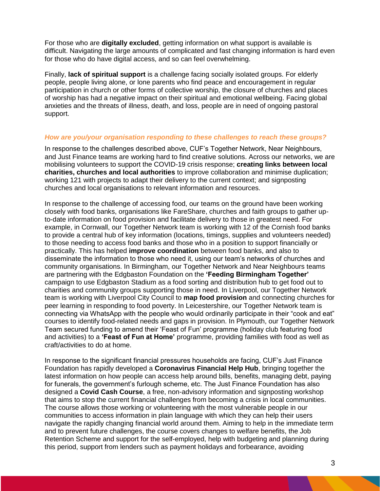For those who are **digitally excluded**, getting information on what support is available is difficult. Navigating the large amounts of complicated and fast changing information is hard even for those who do have digital access, and so can feel overwhelming.

Finally, **lack of spiritual support** is a challenge facing socially isolated groups. For elderly people, people living alone, or lone parents who find peace and encouragement in regular participation in church or other forms of collective worship, the closure of churches and places of worship has had a negative impact on their spiritual and emotional wellbeing. Facing global anxieties and the threats of illness, death, and loss, people are in need of ongoing pastoral support.

#### *How are you/your organisation responding to these challenges to reach these groups?*

In response to the challenges described above, CUF's Together Network, Near Neighbours, and Just Finance teams are working hard to find creative solutions. Across our networks, we are mobilising volunteers to support the COVID-19 crisis response; **creating links between local charities, churches and local authorities** to improve collaboration and minimise duplication; working 121 with projects to adapt their delivery to the current context; and signposting churches and local organisations to relevant information and resources.

In response to the challenge of accessing food, our teams on the ground have been working closely with food banks, organisations like FareShare, churches and faith groups to gather upto-date information on food provision and facilitate delivery to those in greatest need. For example, in Cornwall, our Together Network team is working with 12 of the Cornish food banks to provide a central hub of key information (locations, timings, supplies and volunteers needed) to those needing to access food banks and those who in a position to support financially or practically. This has helped **improve coordination** between food banks, and also to disseminate the information to those who need it, using our team's networks of churches and community organisations. In Birmingham, our Together Network and Near Neighbours teams are partnering with the Edgbaston Foundation on the **'Feeding Birmingham Together'** campaign to use Edgbaston Stadium as a food sorting and distribution hub to get food out to charities and community groups supporting those in need. In Liverpool, our Together Network team is working with Liverpool City Council to **map food provision** and connecting churches for peer learning in responding to food poverty. In Leicestershire, our Together Network team is connecting via WhatsApp with the people who would ordinarily participate in their "cook and eat" courses to identify food-related needs and gaps in provision. In Plymouth, our Together Network Team secured funding to amend their 'Feast of Fun' programme (holiday club featuring food and activities) to a **'Feast of Fun at Home'** programme, providing families with food as well as craft/activities to do at home.

In response to the significant financial pressures households are facing, CUF's Just Finance Foundation has rapidly developed a **Coronavirus Financial Help Hub**, bringing together the latest information on how people can access help around bills, benefits, managing debt, paying for funerals, the government's furlough scheme, etc. The Just Finance Foundation has also designed a **Covid Cash Course**, a free, non-advisory information and signposting workshop that aims to stop the current financial challenges from becoming a crisis in local communities. The course allows those working or volunteering with the most vulnerable people in our communities to access information in plain language with which they can help their users navigate the rapidly changing financial world around them. Aiming to help in the immediate term and to prevent future challenges, the course covers changes to welfare benefits, the Job Retention Scheme and support for the self-employed, help with budgeting and planning during this period, support from lenders such as payment holidays and forbearance, avoiding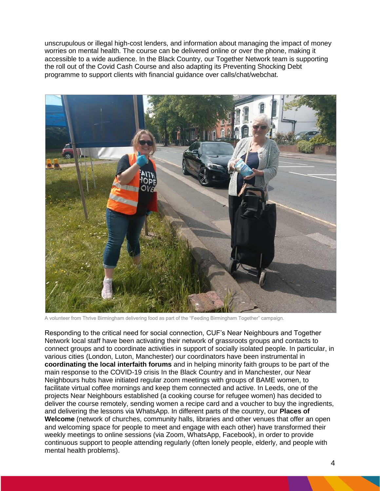unscrupulous or illegal high-cost lenders, and information about managing the impact of money worries on mental health. The course can be delivered online or over the phone, making it accessible to a wide audience. In the Black Country, our Together Network team is supporting the roll out of the Covid Cash Course and also adapting its Preventing Shocking Debt programme to support clients with financial guidance over calls/chat/webchat.



A volunteer from Thrive Birmingham delivering food as part of the "Feeding Birmingham Together" campaign.

Responding to the critical need for social connection, CUF's Near Neighbours and Together Network local staff have been activating their network of grassroots groups and contacts to connect groups and to coordinate activities in support of socially isolated people. In particular, in various cities (London, Luton, Manchester) our coordinators have been instrumental in **coordinating the local interfaith forums** and in helping minority faith groups to be part of the main response to the COVID-19 crisis In the Black Country and in Manchester, our Near Neighbours hubs have initiated regular zoom meetings with groups of BAME women, to facilitate virtual coffee mornings and keep them connected and active. In Leeds, one of the projects Near Neighbours established (a cooking course for refugee women) has decided to deliver the course remotely, sending women a recipe card and a voucher to buy the ingredients, and delivering the lessons via WhatsApp. In different parts of the country, our **Places of Welcome** (network of churches, community halls, libraries and other venues that offer an open and welcoming space for people to meet and engage with each other) have transformed their weekly meetings to online sessions (via Zoom, WhatsApp, Facebook), in order to provide continuous support to people attending regularly (often lonely people, elderly, and people with mental health problems).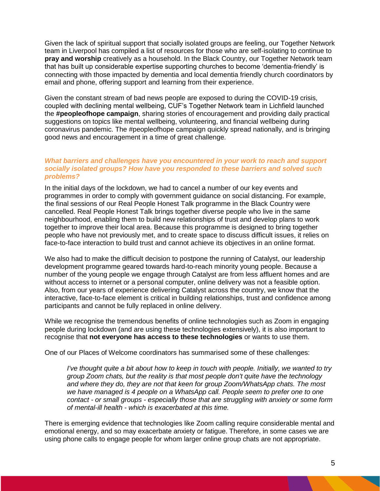Given the lack of spiritual support that socially isolated groups are feeling, our Together Network team in Liverpool has compiled a list of resources for those who are self-isolating to continue to **pray and worship** creatively as a household. In the Black Country, our Together Network team that has built up considerable expertise supporting churches to become 'dementia-friendly' is connecting with those impacted by dementia and local dementia friendly church coordinators by email and phone, offering support and learning from their experience.

Given the constant stream of bad news people are exposed to during the COVID-19 crisis, coupled with declining mental wellbeing, CUF's Together Network team in Lichfield launched the **#peopleofhope campaign**, sharing stories of encouragement and providing daily practical suggestions on topics like mental wellbeing, volunteering, and financial wellbeing during coronavirus pandemic. The #peopleofhope campaign quickly spread nationally, and is bringing good news and encouragement in a time of great challenge.

# *What barriers and challenges have you encountered in your work to reach and support socially isolated groups? How have you responded to these barriers and solved such problems?*

In the initial days of the lockdown, we had to cancel a number of our key events and programmes in order to comply with government guidance on social distancing. For example, the final sessions of our Real People Honest Talk programme in the Black Country were cancelled. Real People Honest Talk brings together diverse people who live in the same neighbourhood, enabling them to build new relationships of trust and develop plans to work together to improve their local area. Because this programme is designed to bring together people who have not previously met, and to create space to discuss difficult issues, it relies on face-to-face interaction to build trust and cannot achieve its objectives in an online format.

We also had to make the difficult decision to postpone the running of Catalyst, our leadership development programme geared towards hard-to-reach minority young people. Because a number of the young people we engage through Catalyst are from less affluent homes and are without access to internet or a personal computer, online delivery was not a feasible option. Also, from our years of experience delivering Catalyst across the country, we know that the interactive, face-to-face element is critical in building relationships, trust and confidence among participants and cannot be fully replaced in online delivery.

While we recognise the tremendous benefits of online technologies such as Zoom in engaging people during lockdown (and are using these technologies extensively), it is also important to recognise that **not everyone has access to these technologies** or wants to use them.

One of our Places of Welcome coordinators has summarised some of these challenges:

*I've thought quite a bit about how to keep in touch with people. Initially, we wanted to try group Zoom chats, but the reality is that most people don't quite have the technology and where they do, they are not that keen for group Zoom/WhatsApp chats. The most we have managed is 4 people on a WhatsApp call. People seem to prefer one to one contact - or small groups - especially those that are struggling with anxiety or some form of mental-ill health - which is exacerbated at this time.*

There is emerging evidence that technologies like Zoom calling require considerable mental and emotional energy, and so may exacerbate anxiety or fatigue. Therefore, in some cases we are using phone calls to engage people for whom larger online group chats are not appropriate.